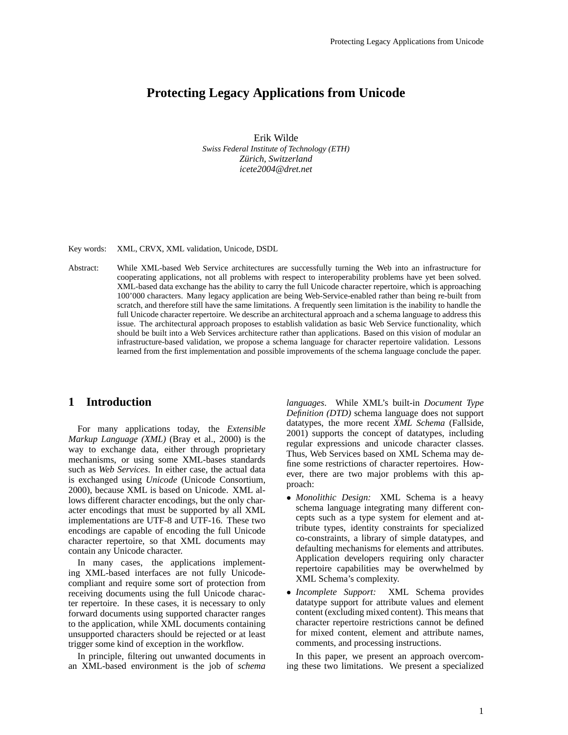# **Protecting Legacy Applications from Unicode**

Erik Wilde *Swiss Federal Institute of Technology (ETH) Zurich, Switzerland ¨ icete2004@dret.net*

Key words: XML, CRVX, XML validation, Unicode, DSDL

Abstract: While XML-based Web Service architectures are successfully turning the Web into an infrastructure for cooperating applications, not all problems with respect to interoperability problems have yet been solved. XML-based data exchange has the ability to carry the full Unicode character repertoire, which is approaching 100'000 characters. Many legacy application are being Web-Service-enabled rather than being re-built from scratch, and therefore still have the same limitations. A frequently seen limitation is the inability to handle the full Unicode character repertoire. We describe an architectural approach and a schema language to address this issue. The architectural approach proposes to establish validation as basic Web Service functionality, which should be built into a Web Services architecture rather than applications. Based on this vision of modular an infrastructure-based validation, we propose a schema language for character repertoire validation. Lessons learned from the first implementation and possible improvements of the schema language conclude the paper.

#### **1 Introduction**

For many applications today, the *Extensible Markup Language (XML)* (Bray et al., 2000) is the way to exchange data, either through proprietary mechanisms, or using some XML-bases standards such as *Web Services*. In either case, the actual data is exchanged using *Unicode* (Unicode Consortium, 2000), because XML is based on Unicode. XML allows different character encodings, but the only character encodings that must be supported by all XML implementations are UTF-8 and UTF-16. These two encodings are capable of encoding the full Unicode character repertoire, so that XML documents may contain any Unicode character.

In many cases, the applications implementing XML-based interfaces are not fully Unicodecompliant and require some sort of protection from receiving documents using the full Unicode character repertoire. In these cases, it is necessary to only forward documents using supported character ranges to the application, while XML documents containing unsupported characters should be rejected or at least trigger some kind of exception in the workflow.

In principle, filtering out unwanted documents in an XML-based environment is the job of *schema*

*languages*. While XML's built-in *Document Type Definition (DTD)* schema language does not support datatypes, the more recent *XML Schema* (Fallside, 2001) supports the concept of datatypes, including regular expressions and unicode character classes. Thus, Web Services based on XML Schema may define some restrictions of character repertoires. However, there are two major problems with this approach:

- *Monolithic Design:* XML Schema is a heavy schema language integrating many different concepts such as a type system for element and attribute types, identity constraints for specialized co-constraints, a library of simple datatypes, and defaulting mechanisms for elements and attributes. Application developers requiring only character repertoire capabilities may be overwhelmed by XML Schema's complexity.
- *Incomplete Support:* XML Schema provides datatype support for attribute values and element content (excluding mixed content). This means that character repertoire restrictions cannot be defined for mixed content, element and attribute names, comments, and processing instructions.

In this paper, we present an approach overcoming these two limitations. We present a specialized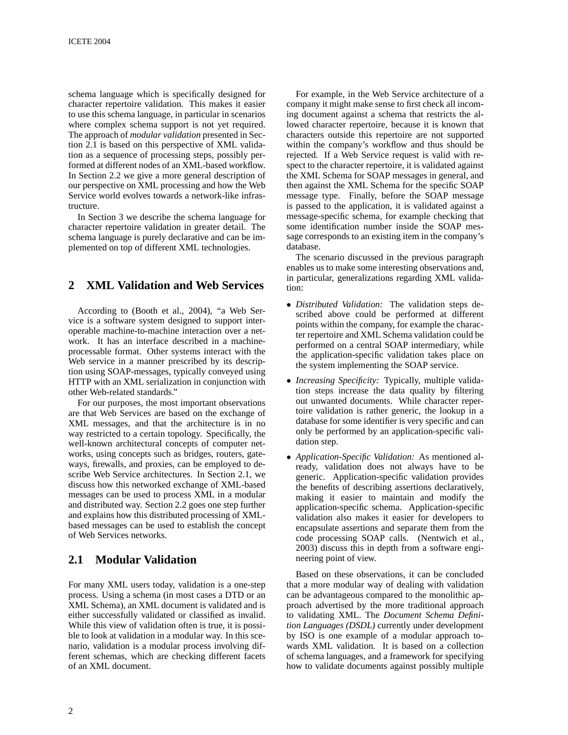schema language which is specifically designed for character repertoire validation. This makes it easier to use this schema language, in particular in scenarios where complex schema support is not yet required. The approach of *modular validation* presented in Section 2.1 is based on this perspective of XML validation as a sequence of processing steps, possibly performed at different nodes of an XML-based workflow. In Section 2.2 we give a more general description of our perspective on XML processing and how the Web Service world evolves towards a network-like infrastructure.

In Section 3 we describe the schema language for character repertoire validation in greater detail. The schema language is purely declarative and can be implemented on top of different XML technologies.

# **2 XML Validation and Web Services**

According to (Booth et al., 2004), "a Web Service is a software system designed to support interoperable machine-to-machine interaction over a network. It has an interface described in a machineprocessable format. Other systems interact with the Web service in a manner prescribed by its description using SOAP-messages, typically conveyed using HTTP with an XML serialization in conjunction with other Web-related standards."

For our purposes, the most important observations are that Web Services are based on the exchange of XML messages, and that the architecture is in no way restricted to a certain topology. Specifically, the well-known architectural concepts of computer networks, using concepts such as bridges, routers, gateways, firewalls, and proxies, can be employed to describe Web Service architectures. In Section 2.1, we discuss how this networked exchange of XML-based messages can be used to process XML in a modular and distributed way. Section 2.2 goes one step further and explains how this distributed processing of XMLbased messages can be used to establish the concept of Web Services networks.

#### **2.1 Modular Validation**

For many XML users today, validation is a one-step process. Using a schema (in most cases a DTD or an XML Schema), an XML document is validated and is either successfully validated or classified as invalid. While this view of validation often is true, it is possible to look at validation in a modular way. In this scenario, validation is a modular process involving different schemas, which are checking different facets of an XML document.

For example, in the Web Service architecture of a company it might make sense to first check all incoming document against a schema that restricts the allowed character repertoire, because it is known that characters outside this repertoire are not supported within the company's workflow and thus should be rejected. If a Web Service request is valid with respect to the character repertoire, it is validated against the XML Schema for SOAP messages in general, and then against the XML Schema for the specific SOAP message type. Finally, before the SOAP message is passed to the application, it is validated against a message-specific schema, for example checking that some identification number inside the SOAP message corresponds to an existing item in the company's database.

The scenario discussed in the previous paragraph enables us to make some interesting observations and, in particular, generalizations regarding XML validation:

- *Distributed Validation:* The validation steps described above could be performed at different points within the company, for example the character repertoire and XML Schema validation could be performed on a central SOAP intermediary, while the application-specific validation takes place on the system implementing the SOAP service.
- *Increasing Specificity:* Typically, multiple validation steps increase the data quality by filtering out unwanted documents. While character repertoire validation is rather generic, the lookup in a database for some identifier is very specific and can only be performed by an application-specific validation step.
- *Application-Specific Validation:* As mentioned already, validation does not always have to be generic. Application-specific validation provides the benefits of describing assertions declaratively, making it easier to maintain and modify the application-specific schema. Application-specific validation also makes it easier for developers to encapsulate assertions and separate them from the code processing SOAP calls. (Nentwich et al., 2003) discuss this in depth from a software engineering point of view.

Based on these observations, it can be concluded that a more modular way of dealing with validation can be advantageous compared to the monolithic approach advertised by the more traditional approach to validating XML. The *Document Schema Definition Languages (DSDL)* currently under development by ISO is one example of a modular approach towards XML validation. It is based on a collection of schema languages, and a framework for specifying how to validate documents against possibly multiple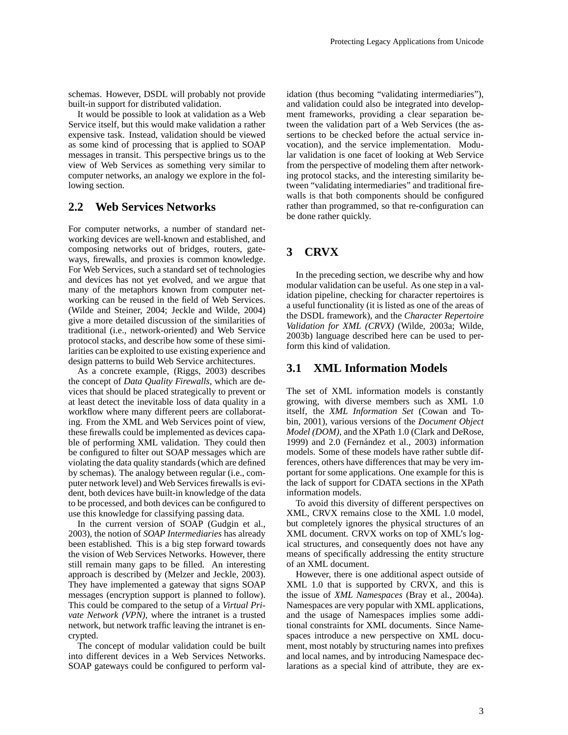schemas. However, DSDL will probably not provide built-in support for distributed validation.

It would be possible to look at validation as a Web Service itself, but this would make validation a rather expensive task. Instead, validation should be viewed as some kind of processing that is applied to SOAP messages in transit. This perspective brings us to the view of Web Services as something very similar to computer networks, an analogy we explore in the following section.

#### **2.2 Web Services Networks**

For computer networks, a number of standard networking devices are well-known and established, and composing networks out of bridges, routers, gateways, firewalls, and proxies is common knowledge. For Web Services, such a standard set of technologies and devices has not yet evolved, and we argue that many of the metaphors known from computer networking can be reused in the field of Web Services. (Wilde and Steiner, 2004; Jeckle and Wilde, 2004) give a more detailed discussion of the similarities of traditional (i.e., network-oriented) and Web Service protocol stacks, and describe how some of these similarities can be exploited to use existing experience and design patterns to build Web Service architectures.

As a concrete example, (Riggs, 2003) describes the concept of *Data Quality Firewalls*, which are devices that should be placed strategically to prevent or at least detect the inevitable loss of data quality in a workflow where many different peers are collaborating. From the XML and Web Services point of view, these firewalls could be implemented as devices capable of performing XML validation. They could then be configured to filter out SOAP messages which are violating the data quality standards (which are defined by schemas). The analogy between regular (i.e., computer network level) and Web Services firewalls is evident, both devices have built-in knowledge of the data to be processed, and both devices can be configured to use this knowledge for classifying passing data.

In the current version of SOAP (Gudgin et al., 2003), the notion of *SOAP Intermediaries* has already been established. This is a big step forward towards the vision of Web Services Networks. However, there still remain many gaps to be filled. An interesting approach is described by (Melzer and Jeckle, 2003). They have implemented a gateway that signs SOAP messages (encryption support is planned to follow). This could be compared to the setup of a *Virtual Private Network (VPN)*, where the intranet is a trusted network, but network traffic leaving the intranet is encrypted.

The concept of modular validation could be built into different devices in a Web Services Networks. SOAP gateways could be configured to perform validation (thus becoming "validating intermediaries"), and validation could also be integrated into development frameworks, providing a clear separation between the validation part of a Web Services (the assertions to be checked before the actual service invocation), and the service implementation. Modular validation is one facet of looking at Web Service from the perspective of modeling them after networking protocol stacks, and the interesting similarity between "validating intermediaries" and traditional firewalls is that both components should be configured rather than programmed, so that re-configuration can be done rather quickly.

### **3 CRVX**

In the preceding section, we describe why and how modular validation can be useful. As one step in a validation pipeline, checking for character repertoires is a useful functionality (it is listed as one of the areas of the DSDL framework), and the *Character Repertoire Validation for XML (CRVX)* (Wilde, 2003a; Wilde, 2003b) language described here can be used to perform this kind of validation.

#### **3.1 XML Information Models**

The set of XML information models is constantly growing, with diverse members such as XML 1.0 itself, the *XML Information Set* (Cowan and Tobin, 2001), various versions of the *Document Object Model (DOM)*, and the XPath 1.0 (Clark and DeRose, 1999) and  $2.0$  (Fernández et al.,  $2003$ ) information models. Some of these models have rather subtle differences, others have differences that may be very important for some applications. One example for this is the lack of support for CDATA sections in the XPath information models.

To avoid this diversity of different perspectives on XML, CRVX remains close to the XML 1.0 model, but completely ignores the physical structures of an XML document. CRVX works on top of XML's logical structures, and consequently does not have any means of specifically addressing the entity structure of an XML document.

However, there is one additional aspect outside of XML 1.0 that is supported by CRVX, and this is the issue of *XML Namespaces* (Bray et al., 2004a). Namespaces are very popular with XML applications, and the usage of Namespaces implies some additional constraints for XML documents. Since Namespaces introduce a new perspective on XML document, most notably by structuring names into prefixes and local names, and by introducing Namespace declarations as a special kind of attribute, they are ex-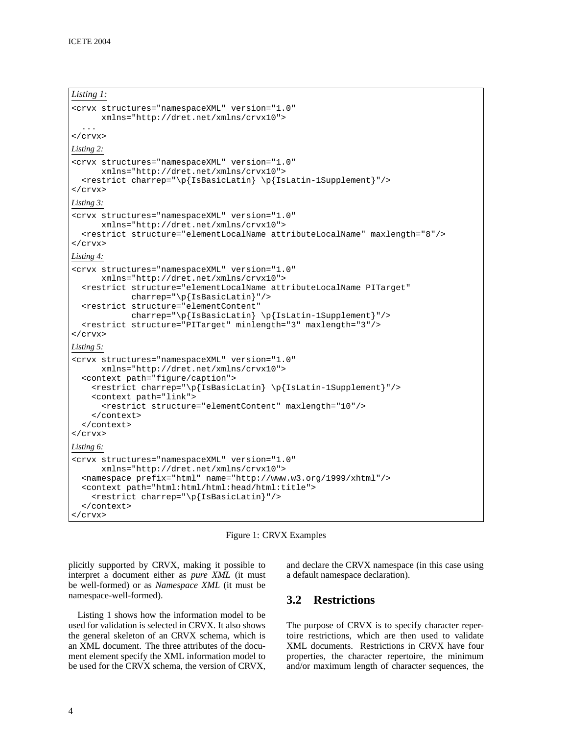#### *Listing 1:*

```
<crvx structures="namespaceXML" version="1.0"
      xmlns="http://dret.net/xmlns/crvx10">
  ...
</crvx>
Listing 2:
<crvx structures="namespaceXML" version="1.0"
      xmlns="http://dret.net/xmlns/crvx10">
  <restrict charrep="\p{IsBasicLatin} \p{IsLatin-1Supplement}"/>
</crvx>
Listing 3:
<crvx structures="namespaceXML" version="1.0"
      xmlns="http://dret.net/xmlns/crvx10">
  <restrict structure="elementLocalName attributeLocalName" maxlength="8"/>
</crvx>
Listing 4:
<crvx structures="namespaceXML" version="1.0"
      xmlns="http://dret.net/xmlns/crvx10">
  <restrict structure="elementLocalName attributeLocalName PITarget"
            charrep="\p{IsBasicLatin}"/>
  <restrict structure="elementContent"
            charrep="\p{IsBasicLatin} \p{IsLatin-1Supplement}"/>
  <restrict structure="PITarget" minlength="3" maxlength="3"/>
</crvx>
Listing 5:
<crvx structures="namespaceXML" version="1.0"
      xmlns="http://dret.net/xmlns/crvx10">
  <context path="figure/caption">
    <restrict charrep="\p{IsBasicLatin} \p{IsLatin-1Supplement}"/>
    <context path="link">
      <restrict structure="elementContent" maxlength="10"/>
    </context>
  </context>
</crvx>
Listing 6:
<crvx structures="namespaceXML" version="1.0"
     xmlns="http://dret.net/xmlns/crvx10">
  <namespace prefix="html" name="http://www.w3.org/1999/xhtml"/>
  <context path="html:html/html:head/html:title">
    <restrict charrep="\p{IsBasicLatin}"/>
  </context>
\langle / \langle crvx \rangle
```


plicitly supported by CRVX, making it possible to interpret a document either as *pure XML* (it must be well-formed) or as *Namespace XML* (it must be namespace-well-formed).

Listing 1 shows how the information model to be used for validation is selected in CRVX. It also shows the general skeleton of an CRVX schema, which is an XML document. The three attributes of the document element specify the XML information model to be used for the CRVX schema, the version of CRVX, and declare the CRVX namespace (in this case using a default namespace declaration).

### **3.2 Restrictions**

The purpose of CRVX is to specify character repertoire restrictions, which are then used to validate XML documents. Restrictions in CRVX have four properties, the character repertoire, the minimum and/or maximum length of character sequences, the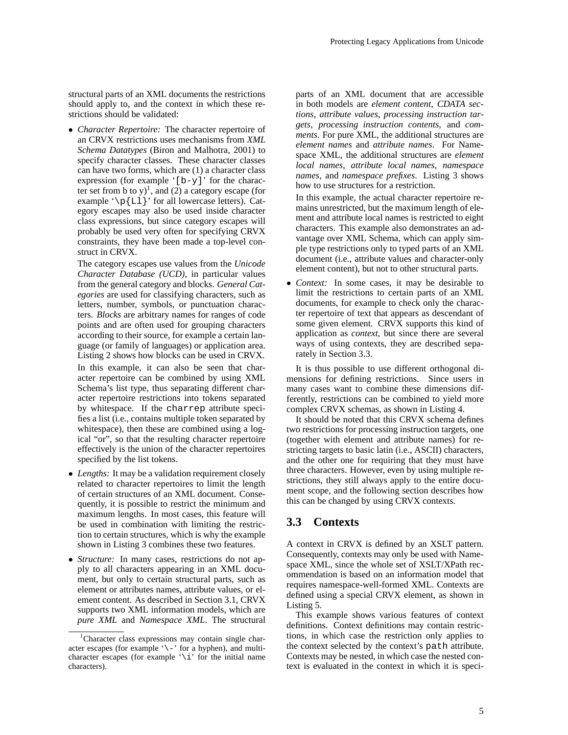structural parts of an XML documents the restrictions should apply to, and the context in which these restrictions should be validated:

• *Character Repertoire:* The character repertoire of an CRVX restrictions uses mechanisms from *XML Schema Datatypes* (Biron and Malhotra, 2001) to specify character classes. These character classes can have two forms, which are (1) a character class expression (for example  $'[b-y]'$  for the character set from b to y)<sup>1</sup>, and (2) a category escape (for example  $\pmb{\in}$  [Ll ]' for all lowercase letters). Category escapes may also be used inside character class expressions, but since category escapes will probably be used very often for specifying CRVX constraints, they have been made a top-level construct in CRVX.

The category escapes use values from the *Unicode Character Database (UCD)*, in particular values from the general category and blocks. *General Categories* are used for classifying characters, such as letters, number, symbols, or punctuation characters. *Blocks* are arbitrary names for ranges of code points and are often used for grouping characters according to their source, for example a certain language (or family of languages) or application area. Listing 2 shows how blocks can be used in CRVX. In this example, it can also be seen that character repertoire can be combined by using XML Schema's list type, thus separating different character repertoire restrictions into tokens separated by whitespace. If the charrep attribute specifies a list (i.e., contains multiple token separated by whitespace), then these are combined using a logical "or", so that the resulting character repertoire effectively is the union of the character repertoires specified by the list tokens.

- *Lengths:* It may be a validation requirement closely related to character repertoires to limit the length of certain structures of an XML document. Consequently, it is possible to restrict the minimum and maximum lengths. In most cases, this feature will be used in combination with limiting the restriction to certain structures, which is why the example shown in Listing 3 combines these two features.
- *Structure:* In many cases, restrictions do not apply to all characters appearing in an XML document, but only to certain structural parts, such as element or attributes names, attribute values, or element content. As described in Section 3.1, CRVX supports two XML information models, which are *pure XML* and *Namespace XML*. The structural

parts of an XML document that are accessible in both models are *element content*, *CDATA sections*, *attribute values*, *processing instruction targets*, *processing instruction contents*, and *comments*. For pure XML, the additional structures are *element names* and *attribute names*. For Namespace XML, the additional structures are *element local names*, *attribute local names*, *namespace names*, and *namespace prefixes*. Listing 3 shows how to use structures for a restriction.

In this example, the actual character repertoire remains unrestricted, but the maximum length of element and attribute local names is restricted to eight characters. This example also demonstrates an advantage over XML Schema, which can apply simple type restrictions only to typed parts of an XML document (i.e., attribute values and character-only element content), but not to other structural parts.

• *Context:* In some cases, it may be desirable to limit the restrictions to certain parts of an XML documents, for example to check only the character repertoire of text that appears as descendant of some given element. CRVX supports this kind of application as *context*, but since there are several ways of using contexts, they are described separately in Section 3.3.

It is thus possible to use different orthogonal dimensions for defining restrictions. Since users in many cases want to combine these dimensions differently, restrictions can be combined to yield more complex CRVX schemas, as shown in Listing 4.

It should be noted that this CRVX schema defines two restrictions for processing instruction targets, one (together with element and attribute names) for restricting targets to basic latin (i.e., ASCII) characters, and the other one for requiring that they must have three characters. However, even by using multiple restrictions, they still always apply to the entire document scope, and the following section describes how this can be changed by using CRVX contexts.

#### **3.3 Contexts**

A context in CRVX is defined by an XSLT pattern. Consequently, contexts may only be used with Namespace XML, since the whole set of XSLT/XPath recommendation is based on an information model that requires namespace-well-formed XML. Contexts are defined using a special CRVX element, as shown in Listing 5.

This example shows various features of context definitions. Context definitions may contain restrictions, in which case the restriction only applies to the context selected by the context's path attribute. Contexts may be nested, in which case the nested context is evaluated in the context in which it is speci-

<sup>&</sup>lt;sup>1</sup>Character class expressions may contain single character escapes (for example '\-' for a hyphen), and multicharacter escapes (for example '\i' for the initial name characters).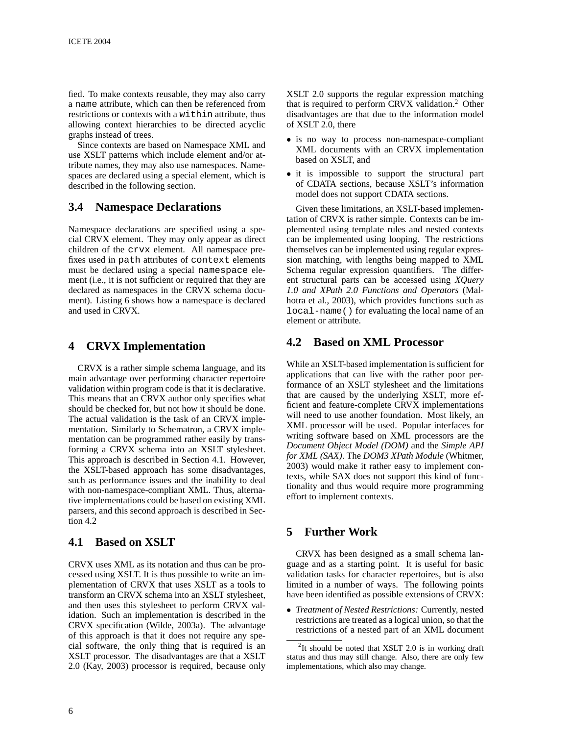fied. To make contexts reusable, they may also carry a name attribute, which can then be referenced from restrictions or contexts with a within attribute, thus allowing context hierarchies to be directed acyclic graphs instead of trees.

Since contexts are based on Namespace XML and use XSLT patterns which include element and/or attribute names, they may also use namespaces. Namespaces are declared using a special element, which is described in the following section.

### **3.4 Namespace Declarations**

Namespace declarations are specified using a special CRVX element. They may only appear as direct children of the crvx element. All namespace prefixes used in path attributes of context elements must be declared using a special namespace element (i.e., it is not sufficient or required that they are declared as namespaces in the CRVX schema document). Listing 6 shows how a namespace is declared and used in CRVX.

### **4 CRVX Implementation**

CRVX is a rather simple schema language, and its main advantage over performing character repertoire validation within program code is that it is declarative. This means that an CRVX author only specifies what should be checked for, but not how it should be done. The actual validation is the task of an CRVX implementation. Similarly to Schematron, a CRVX implementation can be programmed rather easily by transforming a CRVX schema into an XSLT stylesheet. This approach is described in Section 4.1. However, the XSLT-based approach has some disadvantages, such as performance issues and the inability to deal with non-namespace-compliant XML. Thus, alternative implementations could be based on existing XML parsers, and this second approach is described in Section 4.2

### **4.1 Based on XSLT**

CRVX uses XML as its notation and thus can be processed using XSLT. It is thus possible to write an implementation of CRVX that uses XSLT as a tools to transform an CRVX schema into an XSLT stylesheet, and then uses this stylesheet to perform CRVX validation. Such an implementation is described in the CRVX specification (Wilde, 2003a). The advantage of this approach is that it does not require any special software, the only thing that is required is an XSLT processor. The disadvantages are that a XSLT 2.0 (Kay, 2003) processor is required, because only XSLT 2.0 supports the regular expression matching that is required to perform CRVX validation.<sup>2</sup> Other disadvantages are that due to the information model of XSLT 2.0, there

- is no way to process non-namespace-compliant XML documents with an CRVX implementation based on XSLT, and
- it is impossible to support the structural part of CDATA sections, because XSLT's information model does not support CDATA sections.

Given these limitations, an XSLT-based implementation of CRVX is rather simple. Contexts can be implemented using template rules and nested contexts can be implemented using looping. The restrictions themselves can be implemented using regular expression matching, with lengths being mapped to XML Schema regular expression quantifiers. The different structural parts can be accessed using *XQuery 1.0 and XPath 2.0 Functions and Operators* (Malhotra et al., 2003), which provides functions such as local-name() for evaluating the local name of an element or attribute.

# **4.2 Based on XML Processor**

While an XSLT-based implementation is sufficient for applications that can live with the rather poor performance of an XSLT stylesheet and the limitations that are caused by the underlying XSLT, more efficient and feature-complete CRVX implementations will need to use another foundation. Most likely, an XML processor will be used. Popular interfaces for writing software based on XML processors are the *Document Object Model (DOM)* and the *Simple API for XML (SAX)*. The *DOM3 XPath Module* (Whitmer, 2003) would make it rather easy to implement contexts, while SAX does not support this kind of functionality and thus would require more programming effort to implement contexts.

### **5 Further Work**

CRVX has been designed as a small schema language and as a starting point. It is useful for basic validation tasks for character repertoires, but is also limited in a number of ways. The following points have been identified as possible extensions of CRVX:

• *Treatment of Nested Restrictions:* Currently, nested restrictions are treated as a logical union, so that the restrictions of a nested part of an XML document

 $2$ It should be noted that XSLT 2.0 is in working draft status and thus may still change. Also, there are only few implementations, which also may change.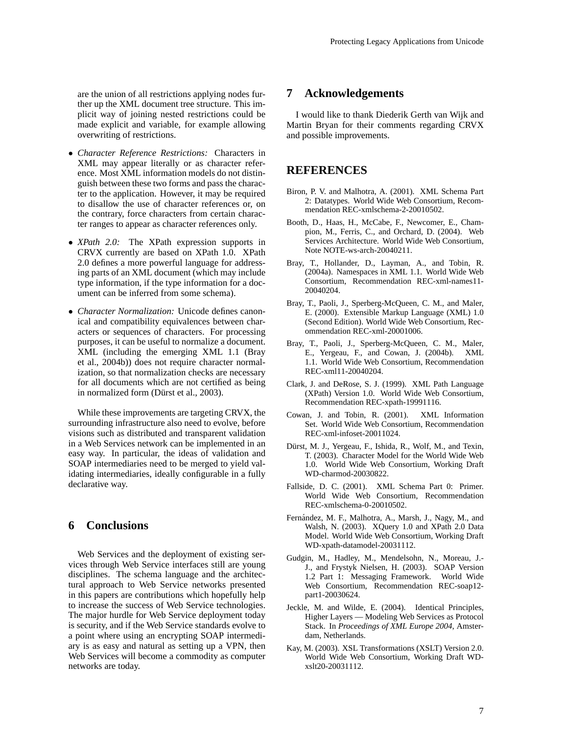are the union of all restrictions applying nodes further up the XML document tree structure. This implicit way of joining nested restrictions could be made explicit and variable, for example allowing overwriting of restrictions.

- *Character Reference Restrictions:* Characters in XML may appear literally or as character reference. Most XML information models do not distinguish between these two forms and pass the character to the application. However, it may be required to disallow the use of character references or, on the contrary, force characters from certain character ranges to appear as character references only.
- *XPath 2.0:* The XPath expression supports in CRVX currently are based on XPath 1.0. XPath 2.0 defines a more powerful language for addressing parts of an XML document (which may include type information, if the type information for a document can be inferred from some schema).
- *Character Normalization:* Unicode defines canonical and compatibility equivalences between characters or sequences of characters. For processing purposes, it can be useful to normalize a document. XML (including the emerging XML 1.1 (Bray et al., 2004b)) does not require character normalization, so that normalization checks are necessary for all documents which are not certified as being in normalized form (Dürst et al., 2003).

While these improvements are targeting CRVX, the surrounding infrastructure also need to evolve, before visions such as distributed and transparent validation in a Web Services network can be implemented in an easy way. In particular, the ideas of validation and SOAP intermediaries need to be merged to yield validating intermediaries, ideally configurable in a fully declarative way.

#### **6 Conclusions**

Web Services and the deployment of existing services through Web Service interfaces still are young disciplines. The schema language and the architectural approach to Web Service networks presented in this papers are contributions which hopefully help to increase the success of Web Service technologies. The major hurdle for Web Service deployment today is security, and if the Web Service standards evolve to a point where using an encrypting SOAP intermediary is as easy and natural as setting up a VPN, then Web Services will become a commodity as computer networks are today.

#### **7 Acknowledgements**

I would like to thank Diederik Gerth van Wijk and Martin Bryan for their comments regarding CRVX and possible improvements.

#### **REFERENCES**

- Biron, P. V. and Malhotra, A. (2001). XML Schema Part 2: Datatypes. World Wide Web Consortium, Recommendation REC-xmlschema-2-20010502.
- Booth, D., Haas, H., McCabe, F., Newcomer, E., Champion, M., Ferris, C., and Orchard, D. (2004). Web Services Architecture. World Wide Web Consortium, Note NOTE-ws-arch-20040211.
- Bray, T., Hollander, D., Layman, A., and Tobin, R. (2004a). Namespaces in XML 1.1. World Wide Web Consortium, Recommendation REC-xml-names11- 20040204.
- Bray, T., Paoli, J., Sperberg-McQueen, C. M., and Maler, E. (2000). Extensible Markup Language (XML) 1.0 (Second Edition). World Wide Web Consortium, Recommendation REC-xml-20001006.
- Bray, T., Paoli, J., Sperberg-McQueen, C. M., Maler, E., Yergeau, F., and Cowan, J. (2004b). XML 1.1. World Wide Web Consortium, Recommendation REC-xml11-20040204.
- Clark, J. and DeRose, S. J. (1999). XML Path Language (XPath) Version 1.0. World Wide Web Consortium, Recommendation REC-xpath-19991116.
- Cowan, J. and Tobin, R. (2001). XML Information Set. World Wide Web Consortium, Recommendation REC-xml-infoset-20011024.
- Dürst, M. J., Yergeau, F., Ishida, R., Wolf, M., and Texin, T. (2003). Character Model for the World Wide Web 1.0. World Wide Web Consortium, Working Draft WD-charmod-20030822.
- Fallside, D. C. (2001). XML Schema Part 0: Primer. World Wide Web Consortium, Recommendation REC-xmlschema-0-20010502.
- Fernández, M. F., Malhotra, A., Marsh, J., Nagy, M., and Walsh, N. (2003). XQuery 1.0 and XPath 2.0 Data Model. World Wide Web Consortium, Working Draft WD-xpath-datamodel-20031112.
- Gudgin, M., Hadley, M., Mendelsohn, N., Moreau, J.- J., and Frystyk Nielsen, H. (2003). SOAP Version 1.2 Part 1: Messaging Framework. World Wide Web Consortium, Recommendation REC-soap12 part1-20030624.
- Jeckle, M. and Wilde, E. (2004). Identical Principles, Higher Layers — Modeling Web Services as Protocol Stack. In *Proceedings of XML Europe 2004*, Amsterdam, Netherlands.
- Kay, M. (2003). XSL Transformations (XSLT) Version 2.0. World Wide Web Consortium, Working Draft WDxslt20-20031112.